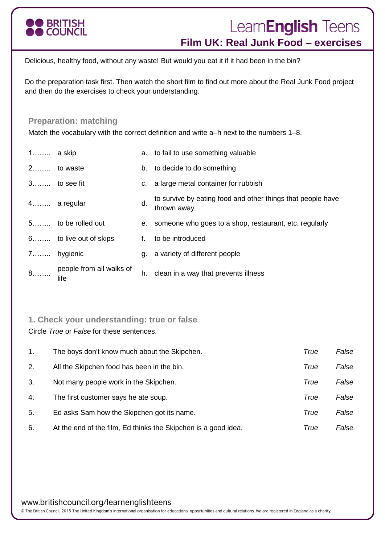

# Learn**English** Teens **Film UK: Real Junk Food – exercises**

Delicious, healthy food, without any waste! But would you eat it if it had been in the bin?

Do the preparation task first. Then watch the short film to find out more about the Real Junk Food project and then do the exercises to check your understanding.

# **Preparation: matching**

Match the vocabulary with the correct definition and write a–h next to the numbers 1–8.

| $1$ a skip |                                  |    | a. to fail to use something valuable                                       |
|------------|----------------------------------|----|----------------------------------------------------------------------------|
|            | 2 to waste                       |    | b. to decide to do something                                               |
|            | $3$ to see fit                   |    | c. a large metal container for rubbish                                     |
|            | 4 a regular                      | d. | to survive by eating food and other things that people have<br>thrown away |
|            | 5 to be rolled out               |    | e. someone who goes to a shop, restaurant, etc. regularly                  |
|            | 6 to live out of skips           |    | to be introduced                                                           |
|            | 7 hygienic                       |    | g. a variety of different people                                           |
| $8$        | people from all walks of<br>life | h. | clean in a way that prevents illness                                       |

## **1. Check your understanding: true or false**

Circle *True* or *False* for these sentences.

| $\mathbf{1}$ . | The boys don't know much about the Skipchen.                   | True | False |
|----------------|----------------------------------------------------------------|------|-------|
| 2.             | All the Skipchen food has been in the bin.                     | True | False |
| 3.             | Not many people work in the Skipchen.                          | True | False |
| 4.             | The first customer says he ate soup.                           | True | False |
| 5.             | Ed asks Sam how the Skipchen got its name.                     | True | False |
| 6.             | At the end of the film, Ed thinks the Skipchen is a good idea. | True | False |

www.britishcouncil.org/learnenglishteens

© The British Council, 2015 The United Kingdom's international organisation for educational opportunities and cultural relations. We are registered in England as a charity.